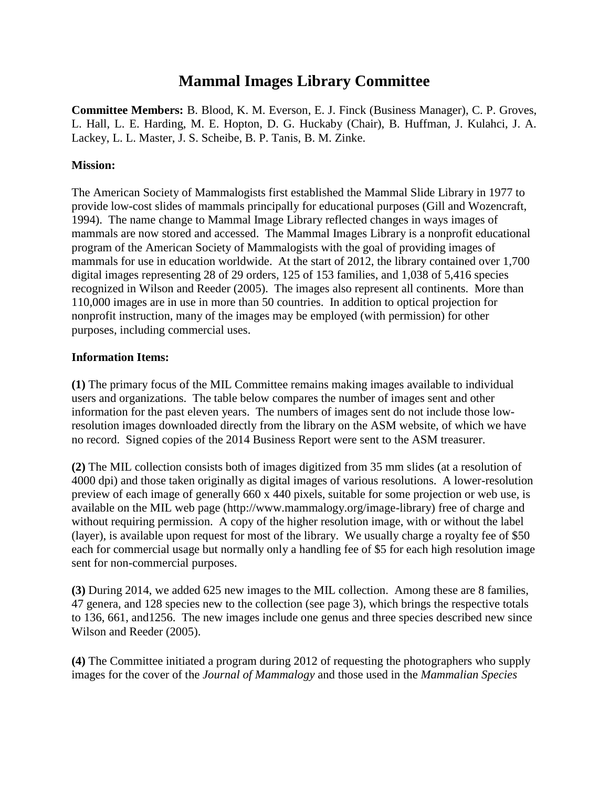# **Mammal Images Library Committee**

**Committee Members:** B. Blood, K. M. Everson, E. J. Finck (Business Manager), C. P. Groves, L. Hall, L. E. Harding, M. E. Hopton, D. G. Huckaby (Chair), B. Huffman, J. Kulahci, J. A. Lackey, L. L. Master, J. S. Scheibe, B. P. Tanis, B. M. Zinke.

## **Mission:**

The American Society of Mammalogists first established the Mammal Slide Library in 1977 to provide low-cost slides of mammals principally for educational purposes (Gill and Wozencraft, 1994). The name change to Mammal Image Library reflected changes in ways images of mammals are now stored and accessed. The Mammal Images Library is a nonprofit educational program of the American Society of Mammalogists with the goal of providing images of mammals for use in education worldwide. At the start of 2012, the library contained over 1,700 digital images representing 28 of 29 orders, 125 of 153 families, and 1,038 of 5,416 species recognized in Wilson and Reeder (2005). The images also represent all continents. More than 110,000 images are in use in more than 50 countries. In addition to optical projection for nonprofit instruction, many of the images may be employed (with permission) for other purposes, including commercial uses.

## **Information Items:**

**(1)** The primary focus of the MIL Committee remains making images available to individual users and organizations. The table below compares the number of images sent and other information for the past eleven years. The numbers of images sent do not include those lowresolution images downloaded directly from the library on the ASM website, of which we have no record. Signed copies of the 2014 Business Report were sent to the ASM treasurer.

**(2)** The MIL collection consists both of images digitized from 35 mm slides (at a resolution of 4000 dpi) and those taken originally as digital images of various resolutions. A lower-resolution preview of each image of generally 660 x 440 pixels, suitable for some projection or web use, is available on the MIL web page (http://www.mammalogy.org/image-library) free of charge and without requiring permission. A copy of the higher resolution image, with or without the label (layer), is available upon request for most of the library. We usually charge a royalty fee of \$50 each for commercial usage but normally only a handling fee of \$5 for each high resolution image sent for non-commercial purposes.

**(3)** During 2014, we added 625 new images to the MIL collection. Among these are 8 families, 47 genera, and 128 species new to the collection (see page 3), which brings the respective totals to 136, 661, and1256. The new images include one genus and three species described new since Wilson and Reeder (2005).

**(4)** The Committee initiated a program during 2012 of requesting the photographers who supply images for the cover of the *Journal of Mammalogy* and those used in the *Mammalian Species*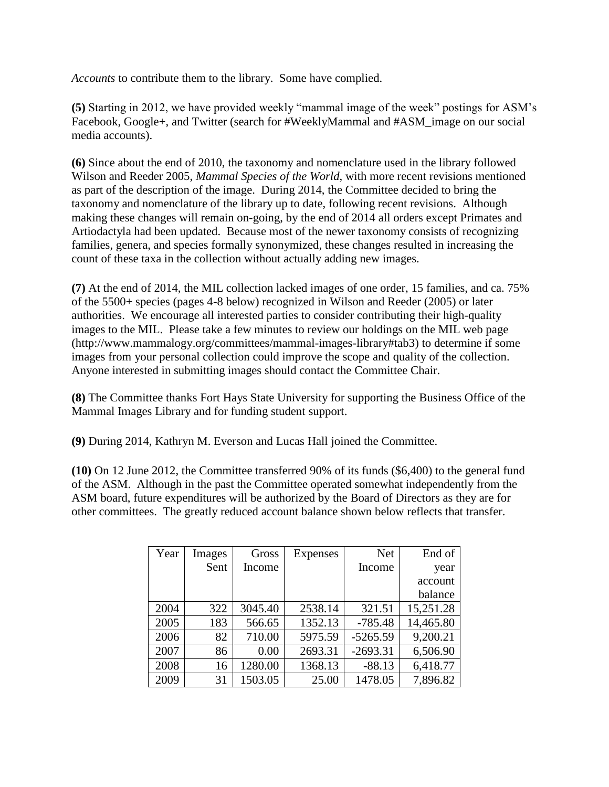*Accounts* to contribute them to the library. Some have complied.

**(5)** Starting in 2012, we have provided weekly "mammal image of the week" postings for ASM's Facebook, Google+, and Twitter (search for #WeeklyMammal and #ASM image on our social media accounts).

**(6)** Since about the end of 2010, the taxonomy and nomenclature used in the library followed Wilson and Reeder 2005, *Mammal Species of the World*, with more recent revisions mentioned as part of the description of the image. During 2014, the Committee decided to bring the taxonomy and nomenclature of the library up to date, following recent revisions. Although making these changes will remain on-going, by the end of 2014 all orders except Primates and Artiodactyla had been updated. Because most of the newer taxonomy consists of recognizing families, genera, and species formally synonymized, these changes resulted in increasing the count of these taxa in the collection without actually adding new images.

**(7)** At the end of 2014, the MIL collection lacked images of one order, 15 families, and ca. 75% of the 5500+ species (pages 4-8 below) recognized in Wilson and Reeder (2005) or later authorities. We encourage all interested parties to consider contributing their high-quality images to the MIL. Please take a few minutes to review our holdings on the MIL web page (http://www.mammalogy.org/committees/mammal-images-library#tab3) to determine if some images from your personal collection could improve the scope and quality of the collection. Anyone interested in submitting images should contact the Committee Chair.

**(8)** The Committee thanks Fort Hays State University for supporting the Business Office of the Mammal Images Library and for funding student support.

**(9)** During 2014, Kathryn M. Everson and Lucas Hall joined the Committee.

**(10)** On 12 June 2012, the Committee transferred 90% of its funds (\$6,400) to the general fund of the ASM. Although in the past the Committee operated somewhat independently from the ASM board, future expenditures will be authorized by the Board of Directors as they are for other committees. The greatly reduced account balance shown below reflects that transfer.

| Year | Images | Gross   | <b>Expenses</b> | <b>Net</b> | End of    |
|------|--------|---------|-----------------|------------|-----------|
|      | Sent   | Income  |                 | Income     | year      |
|      |        |         |                 |            | account   |
|      |        |         |                 |            | balance   |
| 2004 | 322    | 3045.40 | 2538.14         | 321.51     | 15,251.28 |
| 2005 | 183    | 566.65  | 1352.13         | $-785.48$  | 14,465.80 |
| 2006 | 82     | 710.00  | 5975.59         | $-5265.59$ | 9,200.21  |
| 2007 | 86     | 0.00    | 2693.31         | $-2693.31$ | 6,506.90  |
| 2008 | 16     | 1280.00 | 1368.13         | $-88.13$   | 6,418.77  |
| 2009 | 31     | 1503.05 | 25.00           | 1478.05    | 7,896.82  |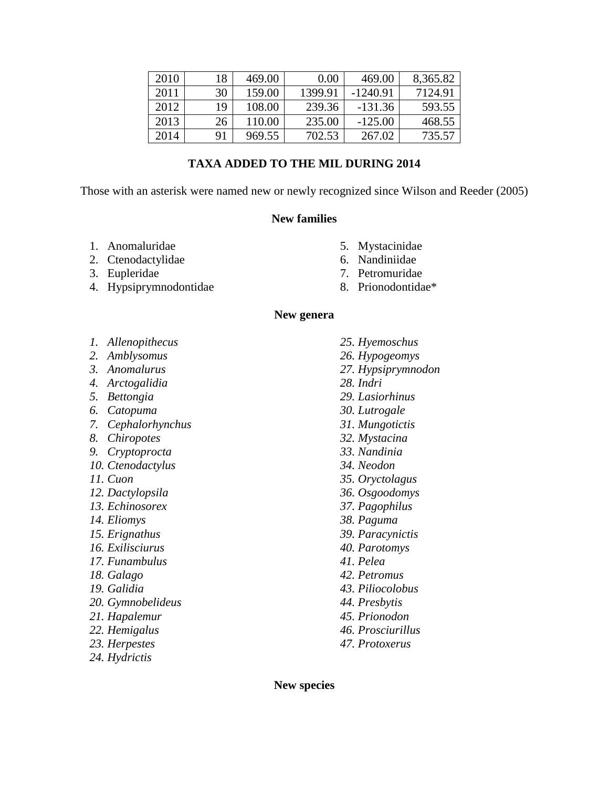| 2010 | 18 | 469.00 | 0.00    | 469.00    | 8,365.82 |
|------|----|--------|---------|-----------|----------|
| 2011 | 30 | 159.00 | 1399.91 | -1240.91  | 7124.91  |
| 2012 | 19 | 108.00 | 239.36  | $-131.36$ | 593.55   |
| 2013 | 26 | 110.00 | 235.00  | $-125.00$ | 468.55   |
| 2014 | 91 | 969.55 | 702.53  | 267.02    | 735.57   |

## **TAXA ADDED TO THE MIL DURING 2014**

Those with an asterisk were named new or newly recognized since Wilson and Reeder (2005)

## **New families**

- 1. Anomaluridae
- 2. Ctenodactylidae
- 3. Eupleridae
- 4. Hypsiprymnodontidae
- 5. Mystacinidae
- 6. Nandiniidae
- 7. Petromuridae

*25. Hyemoschus*

8. Prionodontidae\*

#### **New genera**

- *1. Allenopithecus*
- *2. Amblysomus*
- *3. Anomalurus*
- *4. Arctogalidia*
- *5. Bettongia*
- *6. Catopuma*
- *7. Cephalorhynchus*
- *8. Chiropotes*
- *9. Cryptoprocta*
- *10. Ctenodactylus*
- *11. Cuon*
- *12. Dactylopsila*
- *13. Echinosorex*
- *14. Eliomys*
- *15. Erignathus*
- *16. Exilisciurus*
- *17. Funambulus*
- *18. Galago*
- *19. Galidia*
- *20. Gymnobelideus*
- *21. Hapalemur*
- *22. Hemigalus*
- *23. Herpestes*
- *24. Hydrictis*
- *26. Hypogeomys 27. Hypsiprymnodon 28. Indri 29. Lasiorhinus 30. Lutrogale 31. Mungotictis 32. Mystacina 33. Nandinia 34. Neodon 35. Oryctolagus 36. Osgoodomys 37. Pagophilus 38. Paguma 39. Paracynictis*
- 
- 
- 
- 
- 
- *40. Parotomys*
- *41. Pelea*
- *42. Petromus*
- *43. Piliocolobus*
- *44. Presbytis*
- *45. Prionodon*
- *46. Prosciurillus*
- *47. Protoxerus*

**New species**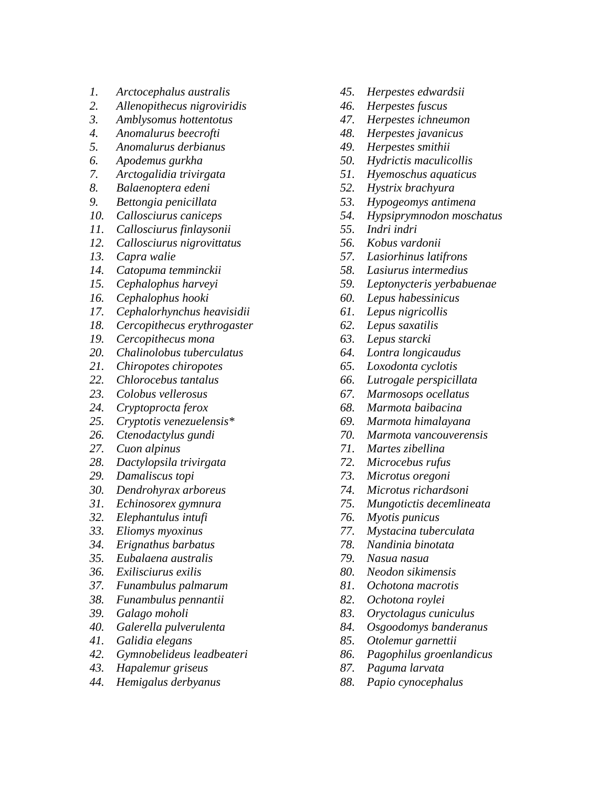- *1. Arctocephalus australis*
- *2. Allenopithecus nigroviridis*
- *3. Amblysomus hottentotus*
- *4. Anomalurus beecrofti*
- *5. Anomalurus derbianus*
- *6. Apodemus gurkha*
- *7. Arctogalidia trivirgata*
- *8. Balaenoptera edeni*
- *9. Bettongia penicillata*
- *10. Callosciurus caniceps*
- *11. Callosciurus finlaysonii*
- *12. Callosciurus nigrovittatus*
- *13. Capra walie*
- *14. Catopuma temminckii*
- *15. Cephalophus harveyi*
- *16. Cephalophus hooki*
- *17. Cephalorhynchus heavisidii*
- *18. Cercopithecus erythrogaster*
- *19. Cercopithecus mona*
- *20. Chalinolobus tuberculatus*
- *21. Chiropotes chiropotes*
- *22. Chlorocebus tantalus*
- *23. Colobus vellerosus*
- *24. Cryptoprocta ferox*
- *25. Cryptotis venezuelensis\**
- *26. Ctenodactylus gundi*
- *27. Cuon alpinus*
- *28. Dactylopsila trivirgata*
- *29. Damaliscus topi*
- *30. Dendrohyrax arboreus*
- *31. Echinosorex gymnura*
- *32. Elephantulus intufi*
- *33. Eliomys myoxinus*
- *34. Erignathus barbatus*
- *35. Eubalaena australis*
- *36. Exilisciurus exilis*
- *37. Funambulus palmarum*
- *38. Funambulus pennantii*
- *39. Galago moholi*
- *40. Galerella pulverulenta*
- *41. Galidia elegans*
- *42. Gymnobelideus leadbeateri*
- *43. Hapalemur griseus*
- *44. Hemigalus derbyanus*
- *45. Herpestes edwardsii*
- *46. Herpestes fuscus*
- *47. Herpestes ichneumon*
- *48. Herpestes javanicus*
- *49. Herpestes smithii*
- *50. Hydrictis maculicollis*
- *51. Hyemoschus aquaticus*
- *52. Hystrix brachyura*
- *53. Hypogeomys antimena*
- *54. Hypsiprymnodon moschatus*
- *55. Indri indri*
- *56. Kobus vardonii*
- *57. Lasiorhinus latifrons*
- *58. Lasiurus intermedius*
- *59. Leptonycteris yerbabuenae*
- *60. Lepus habessinicus*
- *61. Lepus nigricollis*
- *62. Lepus saxatilis*
- *63. Lepus starcki*
- *64. Lontra longicaudus*
- *65. Loxodonta cyclotis*
- *66. Lutrogale perspicillata*
- *67. Marmosops ocellatus*
- *68. Marmota baibacina*
- *69. Marmota himalayana*
- *70. Marmota vancouverensis*
- *71. Martes zibellina*
- *72. Microcebus rufus*
- *73. Microtus oregoni*
- *74. Microtus richardsoni*
- *75. Mungotictis decemlineata*
- *76. Myotis punicus*
- *77. Mystacina tuberculata*
- *78. Nandinia binotata*
- *79. Nasua nasua*
- *80. Neodon sikimensis*
- *81. Ochotona macrotis*
- *82. Ochotona roylei*
- *83. Oryctolagus cuniculus*
- *84. Osgoodomys banderanus*
- *85. Otolemur garnettii*
- *86. Pagophilus groenlandicus*
- *87. Paguma larvata*
- *88. Papio cynocephalus*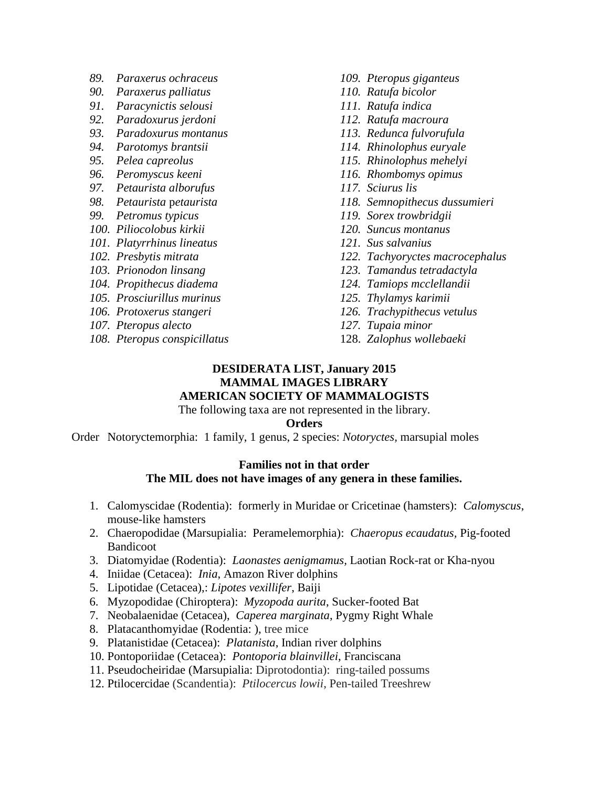- *89. Paraxerus ochraceus*
- *90. Paraxerus palliatus*
- *91. Paracynictis selousi*
- *92. Paradoxurus jerdoni*
- *93. Paradoxurus montanus*
- *94. Parotomys brantsii*
- *95. Pelea capreolus*
- *96. Peromyscus keeni*
- *97. Petaurista alborufus*
- *98. Petaurista* p*etaurista*
- *99. Petromus typicus*
- *100. Piliocolobus kirkii*
- *101. Platyrrhinus lineatus*
- *102. Presbytis mitrata*
- *103. Prionodon linsang*
- *104. Propithecus diadema*
- *105. Prosciurillus murinus*
- *106. Protoxerus stangeri*
- *107. Pteropus alecto*
- *108. Pteropus conspicillatus*
- *109. Pteropus giganteus*
- *110. Ratufa bicolor*
- *111. Ratufa indica*
- *112. Ratufa macroura*
- *113. Redunca fulvorufula*
- *114. Rhinolophus euryale*
- *115. Rhinolophus mehelyi*
- *116. Rhombomys opimus*
- *117. Sciurus lis*
- *118. Semnopithecus dussumieri*
- *119. Sorex trowbridgii*
- *120. Suncus montanus*
- *121. Sus salvanius*
- *122. Tachyoryctes macrocephalus*
- *123. Tamandus tetradactyla*
- *124. Tamiops mcclellandii*
- *125. Thylamys karimii*
- *126. Trachypithecus vetulus*
- *127. Tupaia minor*
- 128. *Zalophus wollebaeki*

# **DESIDERATA LIST, January 2015 MAMMAL IMAGES LIBRARY**

## **AMERICAN SOCIETY OF MAMMALOGISTS**

The following taxa are not represented in the library.

#### **Orders**

Order Notoryctemorphia: 1 family, 1 genus, 2 species: *Notoryctes,* marsupial moles

## **Families not in that order The MIL does not have images of any genera in these families.**

- 1. Calomyscidae (Rodentia): formerly in Muridae or Cricetinae (hamsters): *Calomyscus*, mouse-like hamsters
- 2. Chaeropodidae (Marsupialia: Peramelemorphia): *Chaeropus ecaudatus,* Pig-footed Bandicoot
- 3. Diatomyidae (Rodentia): *Laonastes aenigmamus,* Laotian Rock-rat or Kha-nyou
- 4. Iniidae (Cetacea): *Inia*, Amazon River dolphins
- 5. Lipotidae (Cetacea),: *Lipotes vexillifer*, Baiji
- 6. Myzopodidae (Chiroptera): *Myzopoda aurita*, Sucker-footed Bat
- 7. Neobalaenidae (Cetacea), *Caperea marginata*, Pygmy Right Whale
- 8. Platacanthomyidae (Rodentia: ), tree mice
- 9. Platanistidae (Cetacea): *Platanista*, Indian river dolphins
- 10. Pontoporiidae (Cetacea): *Pontoporia blainvillei*, Franciscana
- 11. Pseudocheiridae (Marsupialia: Diprotodontia): ring-tailed possums
- 12. Ptilocercidae (Scandentia): *Ptilocercus lowii*, Pen-tailed Treeshrew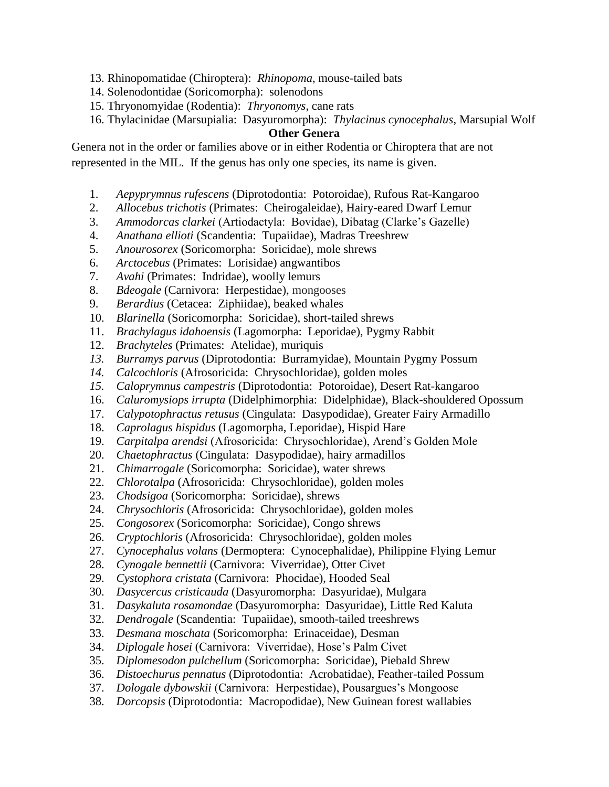- 13. Rhinopomatidae (Chiroptera): *Rhinopoma*, mouse-tailed bats
- 14. Solenodontidae (Soricomorpha): solenodons
- 15. Thryonomyidae (Rodentia): *Thryonomys*, cane rats
- 16. Thylacinidae (Marsupialia: Dasyuromorpha): *Thylacinus cynocephalus*, Marsupial Wolf

## **Other Genera**

Genera not in the order or families above or in either Rodentia or Chiroptera that are not represented in the MIL. If the genus has only one species, its name is given.

- 1. *Aepyprymnus rufescens* (Diprotodontia: Potoroidae), Rufous Rat-Kangaroo
- 2. *Allocebus trichotis* (Primates: Cheirogaleidae), Hairy-eared Dwarf Lemur
- 3. *Ammodorcas clarkei* (Artiodactyla: Bovidae), Dibatag (Clarke's Gazelle)
- 4. *Anathana ellioti* (Scandentia: Tupaiidae), Madras Treeshrew
- 5. *Anourosorex* (Soricomorpha: Soricidae), mole shrews
- 6. *Arctocebus* (Primates: Lorisidae) angwantibos
- 7. *Avahi* (Primates: Indridae), woolly lemurs
- 8. *Bdeogale* (Carnivora: Herpestidae), mongooses
- 9. *Berardius* (Cetacea: Ziphiidae), beaked whales
- 10. *Blarinella* (Soricomorpha: Soricidae), short-tailed shrews
- 11. *Brachylagus idahoensis* (Lagomorpha: Leporidae), Pygmy Rabbit
- 12. *Brachyteles* (Primates: Atelidae), muriquis
- *13. Burramys parvus* (Diprotodontia: Burramyidae), Mountain Pygmy Possum
- *14. Calcochloris* (Afrosoricida: Chrysochloridae), golden moles
- *15. Caloprymnus campestris* (Diprotodontia: Potoroidae), Desert Rat-kangaroo
- 16. *Caluromysiops irrupta* (Didelphimorphia: Didelphidae), Black-shouldered Opossum
- 17. *Calypotophractus retusus* (Cingulata: Dasypodidae), Greater Fairy Armadillo
- 18. *Caprolagus hispidus* (Lagomorpha, Leporidae), Hispid Hare
- 19. *Carpitalpa arendsi* (Afrosoricida: Chrysochloridae), Arend's Golden Mole
- 20. *Chaetophractus* (Cingulata: Dasypodidae), hairy armadillos
- 21. *Chimarrogale* (Soricomorpha: Soricidae), water shrews
- 22. *Chlorotalpa* (Afrosoricida: Chrysochloridae), golden moles
- 23. *Chodsigoa* (Soricomorpha: Soricidae), shrews
- 24. *Chrysochloris* (Afrosoricida: Chrysochloridae), golden moles
- 25. *Congosorex* (Soricomorpha: Soricidae), Congo shrews
- 26. *Cryptochloris* (Afrosoricida: Chrysochloridae), golden moles
- 27. *Cynocephalus volans* (Dermoptera: Cynocephalidae), Philippine Flying Lemur
- 28. *Cynogale bennettii* (Carnivora: Viverridae), Otter Civet
- 29. *Cystophora cristata* (Carnivora: Phocidae), Hooded Seal
- 30. *Dasycercus cristicauda* (Dasyuromorpha: Dasyuridae), Mulgara
- 31. *Dasykaluta rosamondae* (Dasyuromorpha: Dasyuridae), Little Red Kaluta
- 32. *Dendrogale* (Scandentia: Tupaiidae), smooth-tailed treeshrews
- 33. *Desmana moschata* (Soricomorpha: Erinaceidae), Desman
- 34. *Diplogale hosei* (Carnivora: Viverridae), Hose's Palm Civet
- 35. *Diplomesodon pulchellum* (Soricomorpha: Soricidae), Piebald Shrew
- 36. *Distoechurus pennatus* (Diprotodontia: Acrobatidae), Feather-tailed Possum
- 37. *Dologale dybowskii* (Carnivora: Herpestidae), Pousargues's Mongoose
- 38. *Dorcopsis* (Diprotodontia: Macropodidae), New Guinean forest wallabies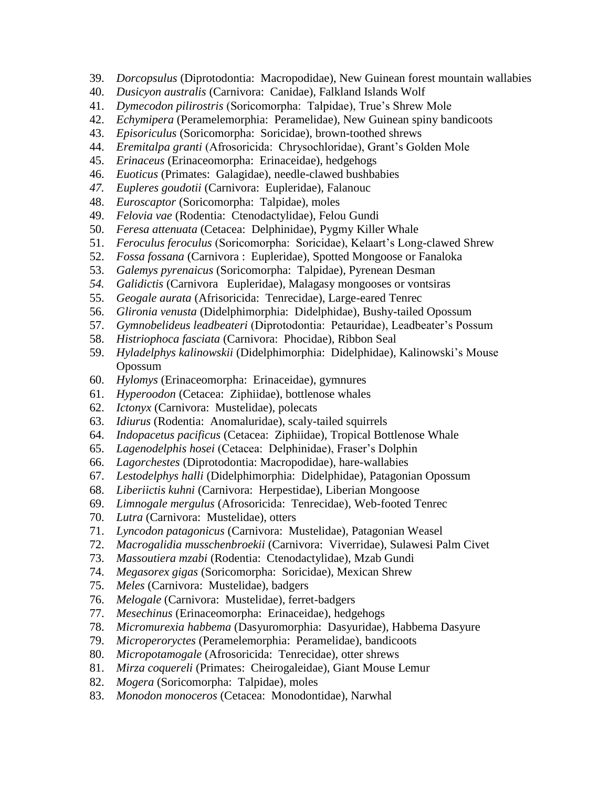- 39. *Dorcopsulus* (Diprotodontia: Macropodidae), New Guinean forest mountain wallabies
- 40. *Dusicyon australis* (Carnivora: Canidae), Falkland Islands Wolf
- 41. *Dymecodon pilirostris* (Soricomorpha: Talpidae), True's Shrew Mole
- 42. *Echymipera* (Peramelemorphia: Peramelidae), New Guinean spiny bandicoots
- 43. *Episoriculus* (Soricomorpha: Soricidae), brown-toothed shrews
- 44. *Eremitalpa granti* (Afrosoricida: Chrysochloridae), Grant's Golden Mole
- 45. *Erinaceus* (Erinaceomorpha: Erinaceidae), hedgehogs
- 46. *Euoticus* (Primates: Galagidae), needle-clawed bushbabies
- *47. Eupleres goudotii* (Carnivora: Eupleridae), Falanouc
- 48. *Euroscaptor* (Soricomorpha: Talpidae), moles
- 49. *Felovia vae* (Rodentia: Ctenodactylidae), Felou Gundi
- 50. *Feresa attenuata* (Cetacea: Delphinidae), Pygmy Killer Whale
- 51. *Feroculus feroculus* (Soricomorpha: Soricidae), Kelaart's Long-clawed Shrew
- 52. *Fossa fossana* (Carnivora : Eupleridae), Spotted Mongoose or Fanaloka
- 53. *Galemys pyrenaicus* (Soricomorpha: Talpidae), Pyrenean Desman
- *54. Galidictis* (Carnivora Eupleridae), Malagasy mongooses or vontsiras
- 55. *Geogale aurata* (Afrisoricida: Tenrecidae), Large-eared Tenrec
- 56. *Glironia venusta* (Didelphimorphia: Didelphidae), Bushy-tailed Opossum
- 57. *Gymnobelideus leadbeateri* (Diprotodontia: Petauridae), Leadbeater's Possum
- 58. *Histriophoca fasciata* (Carnivora: Phocidae), Ribbon Seal
- 59. *Hyladelphys kalinowskii* (Didelphimorphia: Didelphidae), Kalinowski's Mouse Opossum
- 60. *Hylomys* (Erinaceomorpha: Erinaceidae), gymnures
- 61. *Hyperoodon* (Cetacea: Ziphiidae), bottlenose whales
- 62. *Ictonyx* (Carnivora: Mustelidae), polecats
- 63. *Idiurus* (Rodentia: Anomaluridae), scaly-tailed squirrels
- 64. *Indopacetus pacificus* (Cetacea: Ziphiidae), Tropical Bottlenose Whale
- 65. *Lagenodelphis hosei* (Cetacea: Delphinidae), Fraser's Dolphin
- 66. *Lagorchestes* (Diprotodontia: Macropodidae), hare-wallabies
- 67. *Lestodelphys halli* (Didelphimorphia: Didelphidae), Patagonian Opossum
- 68. *Liberiictis kuhni* (Carnivora: Herpestidae), Liberian Mongoose
- 69. *Limnogale mergulus* (Afrosoricida: Tenrecidae), Web-footed Tenrec
- 70. *Lutra* (Carnivora: Mustelidae), otters
- 71. *Lyncodon patagonicus* (Carnivora: Mustelidae), Patagonian Weasel
- 72. *Macrogalidia musschenbroekii* (Carnivora: Viverridae), Sulawesi Palm Civet
- 73. *Massoutiera mzabi* (Rodentia: Ctenodactylidae), Mzab Gundi
- 74. *Megasorex gigas* (Soricomorpha: Soricidae), Mexican Shrew
- 75. *Meles* (Carnivora: Mustelidae), badgers
- 76. *Melogale* (Carnivora: Mustelidae), ferret-badgers
- 77. *Mesechinus* (Erinaceomorpha: Erinaceidae), hedgehogs
- 78. *Micromurexia habbema* (Dasyuromorphia: Dasyuridae), Habbema Dasyure
- 79. *Microperoryctes* (Peramelemorphia: Peramelidae), bandicoots
- 80. *Micropotamogale* (Afrosoricida: Tenrecidae), otter shrews
- 81. *Mirza coquereli* (Primates: Cheirogaleidae), Giant Mouse Lemur
- 82. *Mogera* (Soricomorpha: Talpidae), moles
- 83. *Monodon monoceros* (Cetacea: Monodontidae), Narwhal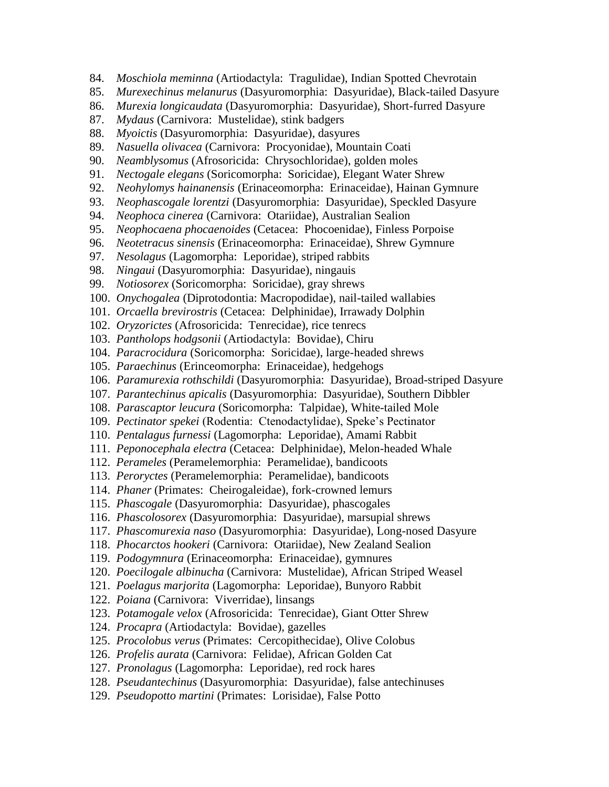- 84. *Moschiola meminna* (Artiodactyla: Tragulidae), Indian Spotted Chevrotain
- 85. *Murexechinus melanurus* (Dasyuromorphia: Dasyuridae), Black-tailed Dasyure
- 86. *Murexia longicaudata* (Dasyuromorphia: Dasyuridae), Short-furred Dasyure
- 87. *Mydaus* (Carnivora: Mustelidae), stink badgers
- 88. *Myoictis* (Dasyuromorphia: Dasyuridae), dasyures
- 89. *Nasuella olivacea* (Carnivora: Procyonidae), Mountain Coati
- 90. *Neamblysomus* (Afrosoricida: Chrysochloridae), golden moles
- 91. *Nectogale elegans* (Soricomorpha: Soricidae), Elegant Water Shrew
- 92. *Neohylomys hainanensis* (Erinaceomorpha: Erinaceidae), Hainan Gymnure
- 93. *Neophascogale lorentzi* (Dasyuromorphia: Dasyuridae), Speckled Dasyure
- 94. *Neophoca cinerea* (Carnivora: Otariidae), Australian Sealion
- 95. *Neophocaena phocaenoides* (Cetacea: Phocoenidae), Finless Porpoise
- 96. *Neotetracus sinensis* (Erinaceomorpha: Erinaceidae), Shrew Gymnure
- 97. *Nesolagus* (Lagomorpha: Leporidae), striped rabbits
- 98. *Ningaui* (Dasyuromorphia: Dasyuridae), ningauis
- 99. *Notiosorex* (Soricomorpha: Soricidae), gray shrews
- 100. *Onychogalea* (Diprotodontia: Macropodidae), nail-tailed wallabies
- 101. *Orcaella brevirostris* (Cetacea: Delphinidae), Irrawady Dolphin
- 102. *Oryzorictes* (Afrosoricida: Tenrecidae), rice tenrecs
- 103. *Pantholops hodgsonii* (Artiodactyla: Bovidae), Chiru
- 104. *Paracrocidura* (Soricomorpha: Soricidae), large-headed shrews
- 105. *Paraechinus* (Erinceomorpha: Erinaceidae), hedgehogs
- 106. *Paramurexia rothschildi* (Dasyuromorphia: Dasyuridae), Broad-striped Dasyure
- 107. *Parantechinus apicalis* (Dasyuromorphia: Dasyuridae), Southern Dibbler
- 108. *Parascaptor leucura* (Soricomorpha: Talpidae), White-tailed Mole
- 109. *Pectinator spekei* (Rodentia: Ctenodactylidae), Speke's Pectinator
- 110. *Pentalagus furnessi* (Lagomorpha: Leporidae), Amami Rabbit
- 111. *Peponocephala electra* (Cetacea: Delphinidae), Melon-headed Whale
- 112. *Perameles* (Peramelemorphia: Peramelidae), bandicoots
- 113. *Peroryctes* (Peramelemorphia: Peramelidae), bandicoots
- 114. *Phaner* (Primates: Cheirogaleidae), fork-crowned lemurs
- 115. *Phascogale* (Dasyuromorphia: Dasyuridae), phascogales
- 116. *Phascolosorex* (Dasyuromorphia: Dasyuridae), marsupial shrews
- 117. *Phascomurexia naso* (Dasyuromorphia: Dasyuridae), Long-nosed Dasyure
- 118. *Phocarctos hookeri* (Carnivora: Otariidae), New Zealand Sealion
- 119. *Podogymnura* (Erinaceomorpha: Erinaceidae), gymnures
- 120. *Poecilogale albinucha* (Carnivora: Mustelidae), African Striped Weasel
- 121. *Poelagus marjorita* (Lagomorpha: Leporidae), Bunyoro Rabbit
- 122. *Poiana* (Carnivora: Viverridae), linsangs
- 123. *Potamogale velox* (Afrosoricida: Tenrecidae), Giant Otter Shrew
- 124. *Procapra* (Artiodactyla: Bovidae), gazelles
- 125. *Procolobus verus* (Primates: Cercopithecidae), Olive Colobus
- 126. *Profelis aurata* (Carnivora: Felidae), African Golden Cat
- 127. *Pronolagus* (Lagomorpha: Leporidae), red rock hares
- 128. *Pseudantechinus* (Dasyuromorphia: Dasyuridae), false antechinuses
- 129. *Pseudopotto martini* (Primates: Lorisidae), False Potto